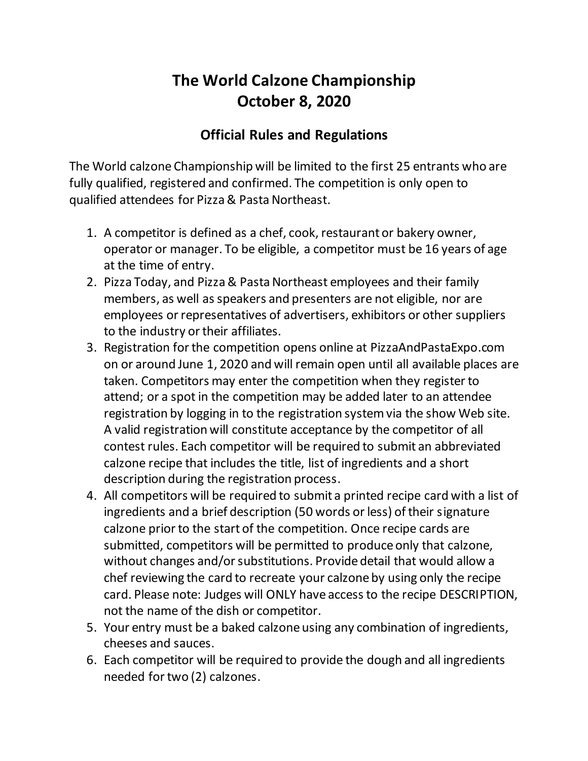## **The World Calzone Championship October 8, 2020**

## **Official Rules and Regulations**

The World calzone Championship will be limited to the first 25 entrants who are fully qualified, registered and confirmed. The competition is only open to qualified attendees for Pizza & Pasta Northeast.

- 1. A competitor is defined as a chef, cook, restaurant or bakery owner, operator or manager. To be eligible, a competitor must be 16 years of age at the time of entry.
- 2. Pizza Today, and Pizza & Pasta Northeast employees and their family members, as well as speakers and presenters are not eligible, nor are employees or representatives of advertisers, exhibitors or other suppliers to the industry or their affiliates.
- 3. Registration for the competition opens online at PizzaAndPastaExpo.com on or around June 1, 2020 and will remain open until all available places are taken. Competitors may enter the competition when they register to attend; or a spot in the competition may be added later to an attendee registration by logging in to the registration system via the show Web site. A valid registration will constitute acceptance by the competitor of all contest rules. Each competitor will be required to submit an abbreviated calzone recipe that includes the title, list of ingredients and a short description during the registration process.
- 4. All competitors will be required to submit a printed recipe card with a list of ingredients and a brief description (50 words or less) of their signature calzone prior to the start of the competition. Once recipe cards are submitted, competitors will be permitted to produce only that calzone, without changes and/or substitutions. Provide detail that would allow a chef reviewing the card to recreate your calzone by using only the recipe card. Please note: Judges will ONLY have access to the recipe DESCRIPTION, not the name of the dish or competitor.
- 5. Your entry must be a baked calzone using any combination of ingredients, cheeses and sauces.
- 6. Each competitor will be required to provide the dough and all ingredients needed for two (2) calzones.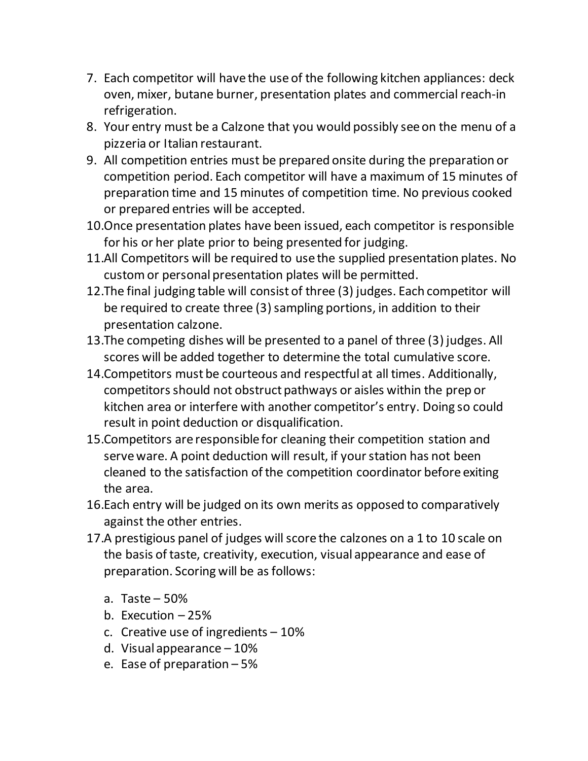- 7. Each competitor will have the use of the following kitchen appliances: deck oven, mixer, butane burner, presentation plates and commercial reach-in refrigeration.
- 8. Your entry must be a Calzone that you would possibly see on the menu of a pizzeria or Italian restaurant.
- 9. All competition entries must be prepared onsite during the preparation or competition period. Each competitor will have a maximum of 15 minutes of preparation time and 15 minutes of competition time. No previous cooked or prepared entries will be accepted.
- 10.Once presentation plates have been issued, each competitor is responsible for his or her plate prior to being presented for judging.
- 11.All Competitors will be required to use the supplied presentation plates. No custom or personal presentation plates will be permitted.
- 12.The final judging table will consist of three (3) judges. Each competitor will be required to create three (3) sampling portions, in addition to their presentation calzone.
- 13.The competing dishes will be presented to a panel of three (3) judges. All scores will be added together to determine the total cumulative score.
- 14.Competitors must be courteous and respectful at all times. Additionally, competitors should not obstruct pathways or aisles within the prep or kitchen area or interfere with another competitor's entry. Doing so could result in point deduction or disqualification.
- 15.Competitors are responsible for cleaning their competition station and serve ware. A point deduction will result, if your station has not been cleaned to the satisfaction of the competition coordinator before exiting the area.
- 16.Each entry will be judged on its own merits as opposed to comparatively against the other entries.
- 17.A prestigious panel of judges will score the calzones on a 1 to 10 scale on the basis of taste, creativity, execution, visual appearance and ease of preparation. Scoring will be as follows:
	- a. Taste 50%
	- b. Execution  $-25%$
	- c. Creative use of ingredients 10%
	- d. Visual appearance 10%
	- e. Ease of preparation 5%